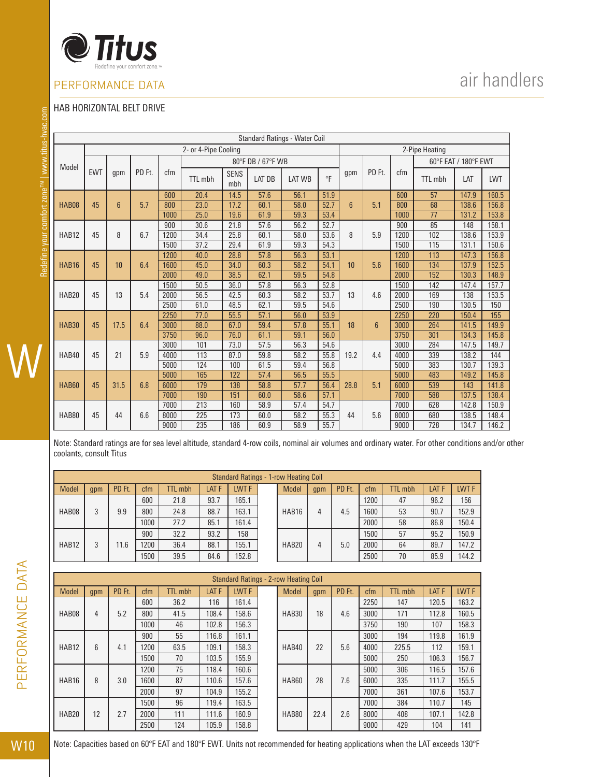

### HAB HORIZONTAL BELT DRIVE

|              |            |                 |        |      |                      |                    |        | Standard Ratings - Water Coil |           |                 |                 |      |                |                      |       |
|--------------|------------|-----------------|--------|------|----------------------|--------------------|--------|-------------------------------|-----------|-----------------|-----------------|------|----------------|----------------------|-------|
|              |            |                 |        |      | 2- or 4-Pipe Cooling |                    |        |                               |           |                 |                 |      | 2-Pipe Heating |                      |       |
| Model        |            |                 | PD Ft. |      | 80°F DB / 67°F WB    |                    |        |                               |           |                 |                 |      |                | 60°F EAT / 180°F EWT |       |
|              | <b>EWT</b> | gpm             |        | cfm  | <b>TTL</b> mbh       | <b>SENS</b><br>mbh | LAT DB | <b>LAT WB</b>                 | $\circ$ F | gpm             | PD Ft.          | cfm  | TTL mbh        | LAT                  | LWT   |
|              |            |                 |        | 600  | 20.4                 | 14.5               | 57.6   | 56.1                          | 51.9      |                 |                 | 600  | 57             | 147.9                | 160.5 |
| HAB08        | 45         | $6\overline{6}$ | 5.7    | 800  | 23.0                 | 17.2               | 60.1   | 58.0                          | 52.7      | $6\overline{6}$ | 5.1             | 800  | 68             | 138.6                | 156.8 |
|              |            |                 |        | 1000 | 25.0                 | 19.6               | 61.9   | 59.3                          | 53.4      |                 |                 | 1000 | 77             | 131.2                | 153.8 |
|              |            |                 |        | 900  | 30.6                 | 21.8               | 57.6   | 56.2                          | 52.7      |                 |                 | 900  | 85             | 148                  | 158.1 |
| HAB12        | 45         | 8               | 6.7    | 1200 | 34.4                 | 25.8               | 60.1   | 58.0                          | 53.6      | 8               | 5.9             | 1200 | 102            | 138.6                | 153.9 |
|              |            |                 |        | 1500 | 37.2                 | 29.4               | 61.9   | 59.3                          | 54.3      |                 |                 | 1500 | 115            | 131.1                | 150.6 |
|              |            | 10<br>6.4       |        | 1200 | 40.0                 | 28.8               | 57.8   | 56.3                          | 53.1      |                 | 5.6             | 1200 | 113            | 147.3                | 156.8 |
| HAB16        | 45         |                 |        | 1600 | 45.0                 | 34.0               | 60.3   | 58.2                          | 54.1      | 10              |                 | 1600 | 134            | 137.9                | 152.5 |
|              |            |                 |        | 2000 | 49.0                 | 38.5               | 62.1   | 59.5                          | 54.8      |                 |                 | 2000 | 152            | 130.3                | 148.9 |
|              |            |                 |        | 1500 | 50.5                 | 36.0               | 57.8   | 56.3                          | 52.8      |                 |                 | 1500 | 142            | 147.4                | 157.7 |
| HAB20        | 45         | 13              | 5.4    | 2000 | 56.5                 | 42.5               | 60.3   | 58.2                          | 53.7      | 13              | 4.6             | 2000 | 169            | 138                  | 153.5 |
|              |            |                 |        | 2500 | 61.0                 | 48.5               | 62.1   | 59.5                          | 54.6      |                 |                 | 2500 | 190            | 130.5                | 150   |
|              |            |                 |        | 2250 | 77.0                 | 55.5               | 57.1   | 56.0                          | 53.9      |                 | $6\overline{6}$ | 2250 | 220            | 150.4                | 155   |
| <b>HAB30</b> | 45         | 17.5            | 6.4    | 3000 | 88.0                 | 67.0               | 59.4   | 57.8                          | 55.1      | 18              |                 | 3000 | 264            | 141.5                | 149.9 |
|              |            |                 |        | 3750 | 96.0                 | 76.0               | 61.1   | 59.1                          | 56.0      |                 |                 | 3750 | 301            | 134.3                | 145.8 |
|              |            |                 |        | 3000 | 101                  | 73.0               | 57.5   | 56.3                          | 54.6      |                 |                 | 3000 | 284            | 147.5                | 149.7 |
| HAB40        | 45         | 21              | 5.9    | 4000 | 113                  | 87.0               | 59.8   | 58.2                          | 55.8      | 19.2            | 4.4             | 4000 | 339            | 138.2                | 144   |
|              |            |                 |        | 5000 | 124                  | 100                | 61.5   | 59.4                          | 56.8      |                 |                 | 5000 | 383            | 130.7                | 139.3 |
|              |            |                 |        | 5000 | 165                  | 122                | 57.4   | 56.5                          | 55.5      |                 |                 | 5000 | 483            | 149.2                | 145.8 |
| HAB60        | 45         | 31.5            | 6.8    | 6000 | 179                  | 138                | 58.8   | 57.7                          | 56.4      | 28.8            | 5.1             | 6000 | 539            | 143                  | 141.8 |
|              |            |                 |        | 7000 | 190                  | 151                | 60.0   | 58.6                          | 57.1      |                 |                 | 7000 | 588            | 137.5                | 138.4 |
|              |            |                 |        | 7000 | 213                  | 160                | 58.9   | 57.4                          | 54.7      |                 |                 | 7000 | 628            | 142.8                | 150.9 |
| HAB80        | 45         | 44              | 6.6    | 8000 | 225                  | 173                | 60.0   | 58.2                          | 55.3      | 44              | 5.6             | 8000 | 680            | 138.5                | 148.4 |
|              |            |                 |        | 9000 | 235                  | 186                | 60.9   | 58.9                          | 55.7      |                 |                 | 9000 | 728            | 134.7                | 146.2 |

Note: Standard ratings are for sea level altitude, standard 4-row coils, nominal air volumes and ordinary water. For other conditions and/or other coolants, consult Titus

|  |                   | <b>Standard Ratings - 1-row Heating Coil</b> |        |      |                |              |                  |       |              |     |        |      |                |       |       |
|--|-------------------|----------------------------------------------|--------|------|----------------|--------------|------------------|-------|--------------|-----|--------|------|----------------|-------|-------|
|  | <b>Model</b>      | qpm                                          | PD Ft. | ctm  | <b>TTL mbh</b> | <b>LAT F</b> | LWT <sub>F</sub> |       | <b>Model</b> | gpm | PD Ft. | ctm  | <b>TTL</b> mbh | LAT F | LWT F |
|  | HAB08<br>9.9      |                                              | 600    | 21.8 | 93.7           | 165.1        |                  |       |              | 4.5 | 1200   | 47   | 96.2           | 156   |       |
|  |                   |                                              | 800    | 24.8 | 88.7           | 163.1        |                  | HAB16 | 4            |     | 1600   | 53   | 90.7           | 152.9 |       |
|  |                   |                                              |        | 1000 | 27.2           | 85.1         | 161.4            |       |              |     |        | 2000 | 58             | 86.8  | 150.4 |
|  |                   |                                              | 11.6   | 900  | 32.2           | 93.2         | 158              |       |              |     |        | 1500 | 57             | 95.2  | 150.9 |
|  | HAB <sub>12</sub> |                                              |        | 1200 | 36.4           | 88.1         | 155.1            |       | HAB20        | 4   | 5.0    | 2000 | 64             | 89.7  | 147.2 |
|  |                   |                                              |        | 1500 | 39.5           | 84.6         | 152.8            |       |              |     |        | 2500 | 70             | 85.9  | 144.2 |

|                   | <b>Standard Ratings - 2-row Heating Coil</b> |        |      |                |                  |       |  |              |      |        |      |                |       |       |
|-------------------|----------------------------------------------|--------|------|----------------|------------------|-------|--|--------------|------|--------|------|----------------|-------|-------|
| Model             | gpm                                          | PD Ft. | cfm  | <b>TTL</b> mbh | LAT <sub>F</sub> | LWT F |  | <b>Model</b> | gpm  | PD Ft. | cfm  | <b>TTL mbh</b> | LAT F | LWT F |
|                   |                                              |        | 600  | 36.2           | 116              | 161.4 |  |              |      |        | 2250 | 147            | 120.5 | 163.2 |
| HAB08             | 4                                            | 5.2    | 800  | 41.5           | 108.4            | 158.6 |  | HAB30        | 18   | 4.6    | 3000 | 171            | 112.8 | 160.5 |
|                   |                                              |        | 1000 | 46             | 102.8            | 156.3 |  |              |      |        | 3750 | 190            | 107   | 158.3 |
|                   |                                              | 4.1    | 900  | 55             | 116.8            | 161.1 |  | HAB40        |      | 5.6    | 3000 | 194            | 119.8 | 161.9 |
| HAB <sub>12</sub> | 6                                            |        | 1200 | 63.5           | 109.1            | 158.3 |  |              | 22   |        | 4000 | 225.5          | 112   | 159.1 |
|                   |                                              |        | 1500 | 70             | 103.5            | 155.9 |  |              |      |        | 5000 | 250            | 106.3 | 156.7 |
|                   |                                              | 3.0    | 1200 | 75             | 118.4            | 160.6 |  |              |      |        | 5000 | 306            | 116.5 | 157.6 |
| HAB16             | 8                                            |        | 1600 | 87             | 110.6            | 157.6 |  | HAB60        | 28   | 7.6    | 6000 | 335            | 111.7 | 155.5 |
|                   |                                              |        | 2000 | 97             | 104.9            | 155.2 |  |              |      |        | 7000 | 361            | 107.6 | 153.7 |
|                   |                                              |        | 1500 | 96             | 119.4            | 163.5 |  |              |      |        | 7000 | 384            | 110.7 | 145   |
| HAB20             | 12                                           | 2.7    | 2000 | 111            | 111.6            | 160.9 |  | HAB80        | 22.4 | 2.6    | 8000 | 408            | 107.1 | 142.8 |
|                   |                                              |        | 2500 | 124            | 105.9            | 158.8 |  |              |      |        | 9000 | 429            | 104   | 141   |

# air handlers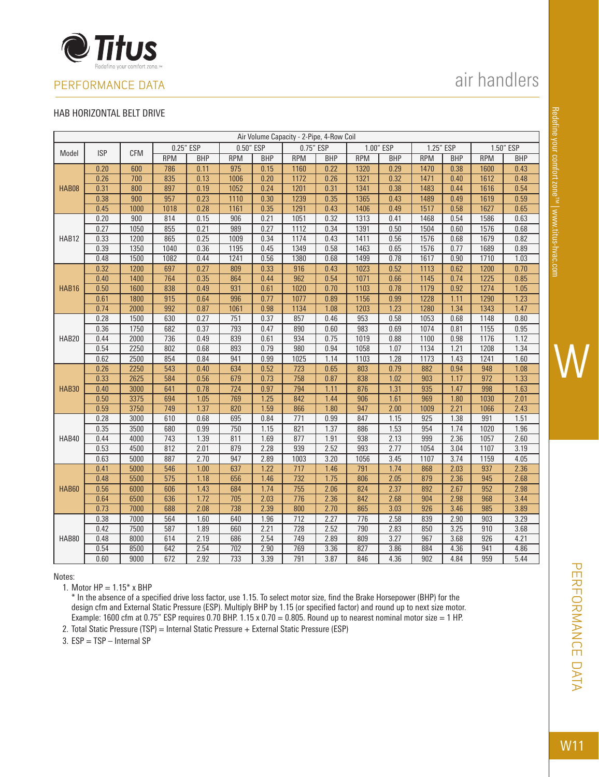

### HAB HORIZONTAL BELT DRIVE

|              | Air Volume Capacity - 2-Pipe, 4-Row Coil |            |                  |            |                  |            |            |            |            |            |            |            |            |            |
|--------------|------------------------------------------|------------|------------------|------------|------------------|------------|------------|------------|------------|------------|------------|------------|------------|------------|
|              | <b>ISP</b>                               |            | 0.25" ESP        |            | 0.50" ESP        |            | 0.75" ESP  |            |            | 1.00" ESP  | 1.25" ESP  |            |            | 1.50" ESP  |
| Model        |                                          | <b>CFM</b> | <b>RPM</b>       | <b>BHP</b> | <b>RPM</b>       | <b>BHP</b> | <b>RPM</b> | <b>BHP</b> | <b>RPM</b> | <b>BHP</b> | <b>RPM</b> | <b>BHP</b> | <b>RPM</b> | <b>BHP</b> |
|              | 0.20                                     | 600        | 786              | 0.11       | $\overline{975}$ | 0.15       | 1160       | 0.22       | 1320       | 0.29       | 1470       | 0.38       | 1600       | 0.43       |
|              | 0.26                                     | 700        | 835              | 0.13       | 1006             | 0.20       | 1172       | 0.26       | 1321       | 0.32       | 1471       | 0.40       | 1612       | 0.48       |
| <b>HAB08</b> | 0.31                                     | 800        | 897              | 0.19       | 1052             | 0.24       | 1201       | 0.31       | 1341       | 0.38       | 1483       | 0.44       | 1616       | 0.54       |
|              | 0.38                                     | 900        | 957              | 0.23       | 1110             | 0.30       | 1239       | 0.35       | 1365       | 0.43       | 1489       | 0.49       | 1619       | 0.59       |
|              | 0.45                                     | 1000       | 1018             | 0.28       | 1161             | 0.35       | 1291       | 0.43       | 1406       | 0.49       | 1517       | 0.58       | 1627       | 0.65       |
|              | 0.20                                     | 900        | 814              | 0.15       | 906              | 0.21       | 1051       | 0.32       | 1313       | 0.41       | 1468       | 0.54       | 1586       | 0.63       |
|              | 0.27                                     | 1050       | 855              | 0.21       | 989              | 0.27       | 1112       | 0.34       | 1391       | 0.50       | 1504       | 0.60       | 1576       | 0.68       |
| HAB12        | 0.33                                     | 1200       | 865              | 0.25       | 1009             | 0.34       | 1174       | 0.43       | 1411       | 0.56       | 1576       | 0.68       | 1679       | 0.82       |
|              | 0.39                                     | 1350       | 1040             | 0.36       | 1195             | 0.45       | 1349       | 0.58       | 1463       | 0.65       | 1576       | 0.77       | 1689       | 0.89       |
|              | 0.48                                     | 1500       | 1082             | 0.44       | 1241             | 0.56       | 1380       | 0.68       | 1499       | 0.78       | 1617       | 0.90       | 1710       | 1.03       |
|              | 0.32                                     | 1200       | 697              | 0.27       | 809              | 0.33       | 916        | 0.43       | 1023       | 0.52       | 1113       | 0.62       | 1200       | 0.70       |
|              | 0.40                                     | 1400       | 764              | 0.35       | 864              | 0.44       | 962        | 0.54       | 1071       | 0.66       | 1145       | 0.74       | 1225       | 0.85       |
| HAB16        | 0.50                                     | 1600       | 838              | 0.49       | 931              | 0.61       | 1020       | 0.70       | 1103       | 0.78       | 1179       | 0.92       | 1274       | 1.05       |
|              | 0.61                                     | 1800       | $\overline{915}$ | 0.64       | 996              | 0.77       | 1077       | 0.89       | 1156       | 0.99       | 1228       | 1.11       | 1290       | 1.23       |
|              | 0.74                                     | 2000       | 992              | 0.87       | 1061             | 0.98       | 1134       | 1.08       | 1203       | 1.23       | 1280       | 1.34       | 1343       | 1.47       |
|              | 0.28                                     | 1500       | 630              | 0.27       | 751              | 0.37       | 857        | 0.46       | 953        | 0.58       | 1053       | 0.68       | 1148       | 0.80       |
|              | 0.36                                     | 1750       | 682              | 0.37       | 793              | 0.47       | 890        | 0.60       | 983        | 0.69       | 1074       | 0.81       | 1155       | 0.95       |
| HAB20        | 0.44                                     | 2000       | 736              | 0.49       | 839              | 0.61       | 934        | 0.75       | 1019       | 0.88       | 1100       | 0.98       | 1176       | 1.12       |
|              | 0.54                                     | 2250       | 802              | 0.68       | 893              | 0.79       | 980        | 0.94       | 1058       | 1.07       | 1134       | 1.21       | 1208       | 1.34       |
|              | 0.62                                     | 2500       | 854              | 0.84       | 941              | 0.99       | 1025       | 1.14       | 1103       | 1.28       | 1173       | 1.43       | 1241       | 1.60       |
|              | 0.26                                     | 2250       | 543              | 0.40       | 634              | 0.52       | 723        | 0.65       | 803        | 0.79       | 882        | 0.94       | 948        | 1.08       |
|              | 0.33                                     | 2625       | 584              | 0.56       | 679              | 0.73       | 758        | 0.87       | 838        | 1.02       | 903        | 1.17       | 972        | 1.33       |
| <b>HAB30</b> | 0.40                                     | 3000       | 641              | 0.78       | 724              | 0.97       | 794        | 1.11       | 876        | 1.31       | 935        | 1.47       | 998        | 1.63       |
|              | 0.50                                     | 3375       | 694              | 1.05       | 769              | 1.25       | 842        | 1.44       | 906        | 1.61       | 969        | 1.80       | 1030       | 2.01       |
|              | 0.59                                     | 3750       | 749              | 1.37       | 820              | 1.59       | 866        | 1.80       | 947        | 2.00       | 1009       | 2.21       | 1066       | 2.43       |
|              | 0.28                                     | 3000       | 610              | 0.68       | 695              | 0.84       | 771        | 0.99       | 847        | 1.15       | 925        | 1.38       | 991        | 1.51       |
|              | 0.35                                     | 3500       | 680              | 0.99       | 750              | 1.15       | 821        | 1.37       | 886        | 1.53       | 954        | 1.74       | 1020       | 1.96       |
| HAB40        | 0.44                                     | 4000       | 743              | 1.39       | 811              | 1.69       | 877        | 1.91       | 938        | 2.13       | 999        | 2.36       | 1057       | 2.60       |
|              | 0.53                                     | 4500       | 812              | 2.01       | 879              | 2.28       | 939        | 2.52       | 993        | 2.77       | 1054       | 3.04       | 1107       | 3.19       |
|              | 0.63                                     | 5000       | 887              | 2.70       | 947              | 2.89       | 1003       | 3.20       | 1056       | 3.45       | 1107       | 3.74       | 1159       | 4.05       |
|              | 0.41                                     | 5000       | 546              | 1.00       | 637              | 1.22       | 717        | 1.46       | 791        | 1.74       | 868        | 2.03       | 937        | 2.36       |
|              | 0.48                                     | 5500       | $\overline{575}$ | 1.18       | 656              | 1.46       | 732        | 1.75       | 806        | 2.05       | 879        | 2.36       | 945        | 2.68       |
| <b>HAB60</b> | 0.56                                     | 6000       | 606              | 1.43       | 684              | 1.74       | 755        | 2.06       | 824        | 2.37       | 892        | 2.67       | 952        | 2.98       |
|              | 0.64                                     | 6500       | 636              | 1.72       | 705              | 2.03       | 776        | 2.36       | 842        | 2.68       | 904        | 2.98       | 968        | 3.44       |
|              | 0.73                                     | 7000       | 688              | 2.08       | 738              | 2.39       | 800        | 2.70       | 865        | 3.03       | 926        | 3.46       | 985        | 3.89       |
|              | 0.38                                     | 7000       | 564              | 1.60       | 640              | 1.96       | 712        | 2.27       | 776        | 2.58       | 839        | 2.90       | 903        | 3.29       |
|              | 0.42                                     | 7500       | 587              | 1.89       | 660              | 2.21       | 728        | 2.52       | 790        | 2.83       | 850        | 3.25       | 910        | 3.68       |
| HAB80        | 0.48                                     | 8000       | 614              | 2.19       | 686              | 2.54       | 749        | 2.89       | 809<br>827 | 3.27       | 967<br>884 | 3.68       | 926        | 4.21       |
|              | 0.54                                     | 8500       | 642              | 2.54       | 702              | 2.90       | 769        | 3.36       |            | 3.86       |            | 4.36       | 941        | 4.86       |
|              | 0.60                                     | 9000       | 672              | 2.92       | 733              | 3.39       | 791        | 3.87       | 846        | 4.36       | 902        | 4.84       | 959        | 5.44       |

Notes:

1. Motor  $HP = 1.15^*$  x BHP

\* In the absence of a specified drive loss factor, use 1.15. To select motor size, find the Brake Horsepower (BHP) for the design cfm and External Static Pressure (ESP). Multiply BHP by 1.15 (or specified factor) and round up to next size motor. Example: 1600 cfm at 0.75" ESP requires 0.70 BHP.  $1.15 \times 0.70 = 0.805$ . Round up to nearest nominal motor size = 1 HP.

2. Total Static Pressure (TSP) = Internal Static Pressure + External Static Pressure (ESP)

3. ESP = TSP – Internal SP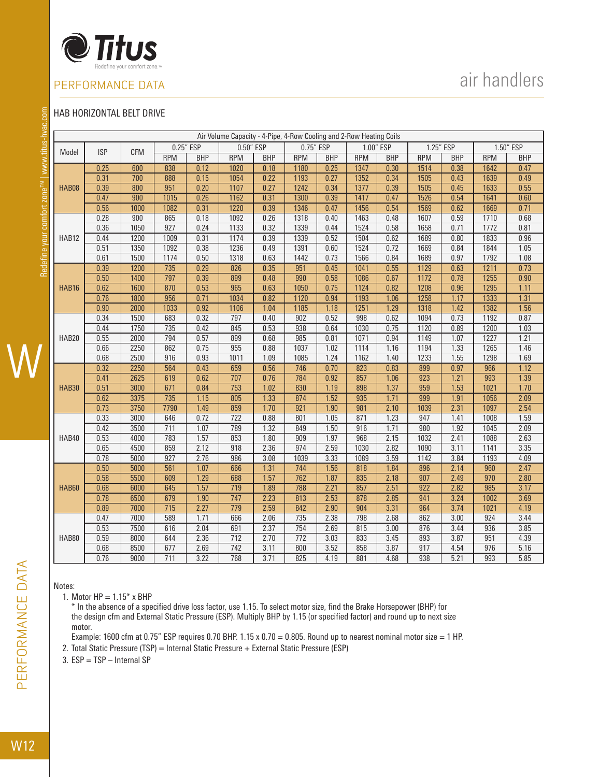

## air handlers

### HAB HORIZONTAL BELT DRIVE

| ľ    |
|------|
|      |
| ֚֘֝֬ |
|      |
|      |
|      |
|      |
| t    |
|      |
|      |
|      |
|      |
|      |
|      |
|      |
|      |
| Į    |
|      |
|      |
|      |
|      |
|      |
|      |
|      |
|      |
|      |
| Ė    |
|      |
| ľ    |
|      |
| ĺ    |
|      |
|      |
| ř    |
|      |
|      |
|      |
| ĺ    |
|      |
|      |
|      |
| ĺ    |
|      |
| ֠    |
| l    |
|      |
| ١    |
|      |
|      |
| l    |
| l    |

|              |              |              |                         |              | Air Volume Capacity - 4-Pipe, 4-Row Cooling and 2-Row Heating Coils |              |                         |              |            |              |                         |              |                  |                   |
|--------------|--------------|--------------|-------------------------|--------------|---------------------------------------------------------------------|--------------|-------------------------|--------------|------------|--------------|-------------------------|--------------|------------------|-------------------|
| Model        | <b>ISP</b>   | <b>CFM</b>   |                         | 0.25" ESP    | 0.50" ESP                                                           |              | 0.75" ESP               |              |            | 1.00" ESP    |                         | 1.25" ESP    |                  | 1.50" ESP         |
|              |              |              | <b>RPM</b>              | <b>BHP</b>   | <b>RPM</b>                                                          | <b>BHP</b>   | <b>RPM</b>              | <b>BHP</b>   | <b>RPM</b> | <b>BHP</b>   | <b>RPM</b>              | <b>BHP</b>   | <b>RPM</b>       | <b>BHP</b>        |
|              | 0.25         | 600          | 838                     | 0.12         | 1020                                                                | 0.18         | 1180                    | 0.25         | 1347       | 0.30         | 1514                    | 0.38         | 1642             | 0.47              |
|              | 0.31         | 700          | 888                     | 0.15         | 1054                                                                | 0.22         | 1193                    | 0.27         | 1352       | 0.34         | 1505                    | 0.43         | 1639             | 0.49              |
| HAB08        | 0.39         | 800          | 951                     | 0.20         | 1107                                                                | 0.27         | 1242                    | 0.34         | 1377       | 0.39         | 1505                    | 0.45         | 1633             | 0.55              |
|              | 0.47         | 900          | 1015                    | 0.26         | 1162                                                                | 0.31         | 1300                    | 0.39         | 1417       | 0.47         | 1526                    | 0.54         | 1641             | 0.60              |
|              | 0.56         | 1000         | 1082                    | 0.31         | 1220                                                                | 0.39         | 1346                    | 0.47         | 1456       | 0.54         | 1569                    | 0.62         | 1669             | 0.71              |
|              | 0.28         | 900          | 865                     | 0.18         | 1092                                                                | 0.26         | 1318                    | 0.40         | 1463       | 0.48         | 1607                    | 0.59         | 1710             | 0.68              |
|              | 0.36         | 1050         | $\overline{927}$        | 0.24         | 1133                                                                | 0.32         | 1339                    | 0.44         | 1524       | 0.58         | 1658                    | 0.71         | 1772             | 0.81              |
| HAB12        | 0.44         | 1200         | 1009                    | 0.31         | 1174                                                                | 0.39         | 1339                    | 0.52         | 1504       | 0.62         | 1689                    | 0.80         | 1833             | 0.96              |
|              | 0.51         | 1350         | 1092                    | 0.38         | 1236                                                                | 0.49         | 1391                    | 0.60         | 1524       | 0.72         | 1669                    | 0.84         | 1844             | 1.05              |
|              | 0.61         | 1500         | 1174                    | 0.50         | 1318                                                                | 0.63         | 1442                    | 0.73         | 1566       | 0.84         | 1689                    | 0.97         | 1792             | 1.08              |
|              | 0.39         | 1200         | 735                     | 0.29         | 826                                                                 | 0.35         | 951                     | 0.45         | 1041       | 0.55         | 1129                    | 0.63         | 1211             | 0.73              |
|              | 0.50         | 1400         | 797                     | 0.39         | 899                                                                 | 0.48         | 990                     | 0.58         | 1086       | 0.67         | 1172                    | 0.78         | 1255             | $\overline{0.90}$ |
| HAB16        | 0.62         | 1600         | 870                     | 0.53         | 965                                                                 | 0.63         | 1050                    | 0.75         | 1124       | 0.82         | 1208                    | 0.96         | 1295             | 1.11              |
|              | 0.76         | 1800         | 956                     | 0.71         | 1034                                                                | 0.82         | 1120                    | 0.94         | 1193       | 1.06         | 1258                    | 1.17         | 1333             | 1.31              |
|              | 0.90         | 2000         | 1033                    | 0.92         | 1106                                                                | 1.04         | 1185                    | 1.18         | 1251       | 1.29         | 1318                    | 1.42         | 1382             | 1.56              |
|              | 0.34         | 1500         | 683                     | 0.32         | 797                                                                 | 0.40         | 902                     | 0.52         | 998        | 0.62         | 1094                    | 0.73         | 1192             | 0.87              |
|              | 0.44         | 1750         | 735                     | 0.42         | 845                                                                 | 0.53         | 938                     | 0.64         | 1030       | 0.75         | 1120                    | 0.89         | 1200             | 1.03              |
| HAB20        | 0.55         | 2000         | 794                     | 0.57         | 899                                                                 | 0.68         | 985                     | 0.81         | 1071       | 0.94         | 1149                    | 1.07         | 1227             | 1.21              |
|              | 0.66         | 2250         | 862                     | 0.75         | 955                                                                 | 0.88         | 1037                    | 1.02         | 1114       | 1.16         | 1194                    | 1.33         | 1265             | 1.46              |
|              | 0.68         | 2500         | 916                     | 0.93         | 1011                                                                | 1.09         | 1085                    | 1.24         | 1162       | 1.40         | 1233                    | 1.55         | 1298             | 1.69              |
|              | 0.32         | 2250         | 564                     | 0.43         | 659                                                                 | 0.56         | 746                     | 0.70         | 823        | 0.83         | 899                     | 0.97         | 966              | 1.12              |
|              | 0.41         | 2625         | 619                     | 0.62         | 707                                                                 | 0.76         | 784                     | 0.92         | 857        | 1.06         | 923                     | 1.21         | 993              | 1.39              |
| <b>HAB30</b> | 0.51         | 3000         | 671                     | 0.84         | 753                                                                 | 1.02         | 830                     | 1.19         | 898        | 1.37         | 959                     | 1.53         | 1021             | 1.70              |
|              | 0.62         | 3375         | $\overline{735}$        | 1.15         | 805                                                                 | 1.33         | 874                     | 1.52         | 935        | 1.71         | 999                     | 1.91         | 1056             | 2.09              |
|              | 0.73         | 3750         | 7790                    | 1.49         | 859                                                                 | 1.70         | 921                     | 1.90         | 981        | 2.10         | 1039                    | 2.31         | 1097             | 2.54              |
|              | 0.33         | 3000         | 646                     | 0.72         | 722                                                                 | 0.88         | 801                     | 1.05         | 871        | 1.23         | 947                     | 1.41         | 1008             | 1.59              |
|              | 0.42         | 3500         | $\overline{711}$        | 1.07         | 789                                                                 | 1.32         | 849                     | 1.50         | 916        | 1.71         | 980                     | 1.92         | 1045             | 2.09              |
| HAB40        | 0.53         | 4000         | 783                     | 1.57         | 853                                                                 | 1.80         | 909                     | 1.97         | 968        | 2.15         | 1032                    | 2.41         | 1088             | 2.63              |
|              | 0.65         | 4500         | 859                     | 2.12         | $\overline{918}$                                                    | 2.36         | 974                     | 2.59         | 1030       | 2.82         | 1090                    | 3.11         | 1141             | 3.35              |
|              | 0.78         | 5000         | 927                     | 2.76         | 986                                                                 | 3.08         | 1039                    | 3.33         | 1089       | 3.59         | 1142                    | 3.84         | 1193             | 4.09              |
|              | 0.50         | 5000         | 561                     | 1.07         | 666                                                                 | 1.31         | 744                     | 1.56         | 818        | 1.84         | 896                     | 2.14         | 960              | 2.47              |
|              | 0.58         | 5500         | 609                     | 1.29         | 688                                                                 | 1.57         | $\overline{762}$        | 1.87         | 835        | 2.18         | 907                     | 2.49         | $\overline{970}$ | 2.80              |
| HAB60        | 0.68         | 6000<br>6500 | 645                     | 1.57         | 719<br>$\overline{747}$                                             | 1.89         | 788                     | 2.21         | 857<br>878 | 2.51<br>2.85 | 922<br>$\overline{941}$ | 2.82<br>3.24 | 985              | 3.17              |
|              | 0.78<br>0.89 | 7000         | 679<br>$\overline{715}$ | 1.90<br>2.27 | $\overline{779}$                                                    | 2.23<br>2.59 | $\overline{813}$<br>842 | 2.53<br>2.90 | 904        | 3.31         | 964                     | 3.74         | 1002             | 3.69<br>4.19      |
|              |              |              |                         |              |                                                                     |              |                         |              |            |              |                         |              | 1021             | 3.44              |
|              | 0.47<br>0.53 | 7000<br>7500 | 589<br>616              | 1.71<br>2.04 | 666<br>691                                                          | 2.06<br>2.37 | 735<br>754              | 2.38<br>2.69 | 798<br>815 | 2.68<br>3.00 | 862<br>876              | 3.00<br>3.44 | 924<br>936       | 3.85              |
| HAB80        | 0.59         | 8000         | 644                     | 2.36         | 712                                                                 | 2.70         | $\overline{772}$        | 3.03         | 833        | 3.45         | 893                     | 3.87         | 951              | 4.39              |
|              | 0.68         | 8500         | 677                     |              | $\overline{742}$                                                    | 3.11         | 800                     | 3.52         | 858        | 3.87         | 917                     | 4.54         | 976              | 5.16              |
|              | 0.76         | 9000         | $\overline{711}$        | 2.69<br>3.22 | 768                                                                 | 3.71         | 825                     | 4.19         | 881        | 4.68         | 938                     | 5.21         | 993              | 5.85              |
|              |              |              |                         |              |                                                                     |              |                         |              |            |              |                         |              |                  |                   |

Notes:

1. Motor  $HP = 1.15*$  x BHP

\* In the absence of a specified drive loss factor, use 1.15. To select motor size, find the Brake Horsepower (BHP) for the design cfm and External Static Pressure (ESP). Multiply BHP by 1.15 (or specified factor) and round up to next size motor.

Example: 1600 cfm at 0.75" ESP requires 0.70 BHP.  $1.15 \times 0.70 = 0.805$ . Round up to nearest nominal motor size = 1 HP. 2. Total Static Pressure (TSP) = Internal Static Pressure + External Static Pressure (ESP)

3. ESP = TSP – Internal SP